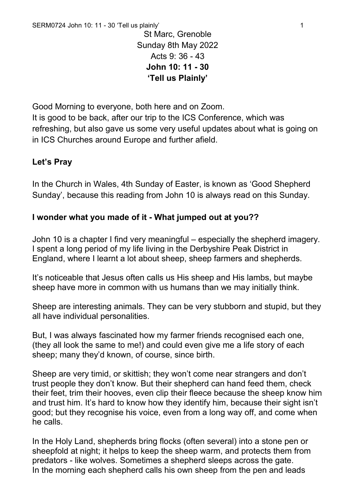St Marc, Grenoble Sunday 8th May 2022 Acts 9: 36 - 43 **John 10: 11 - 30 'Tell us Plainly'**

Good Morning to everyone, both here and on Zoom.

It is good to be back, after our trip to the ICS Conference, which was refreshing, but also gave us some very useful updates about what is going on in ICS Churches around Europe and further afield.

## **Let's Pray**

In the Church in Wales, 4th Sunday of Easter, is known as 'Good Shepherd Sunday', because this reading from John 10 is always read on this Sunday.

## **I wonder what you made of it - What jumped out at you??**

John 10 is a chapter I find very meaningful – especially the shepherd imagery. I spent a long period of my life living in the Derbyshire Peak District in England, where I learnt a lot about sheep, sheep farmers and shepherds.

It's noticeable that Jesus often calls us His sheep and His lambs, but maybe sheep have more in common with us humans than we may initially think.

Sheep are interesting animals. They can be very stubborn and stupid, but they all have individual personalities.

But, I was always fascinated how my farmer friends recognised each one, (they all look the same to me!) and could even give me a life story of each sheep; many they'd known, of course, since birth.

Sheep are very timid, or skittish; they won't come near strangers and don't trust people they don't know. But their shepherd can hand feed them, check their feet, trim their hooves, even clip their fleece because the sheep know him and trust him. It's hard to know how they identify him, because their sight isn't good; but they recognise his voice, even from a long way off, and come when he calls.

In the Holy Land, shepherds bring flocks (often several) into a stone pen or sheepfold at night; it helps to keep the sheep warm, and protects them from predators - like wolves. Sometimes a shepherd sleeps across the gate. In the morning each shepherd calls his own sheep from the pen and leads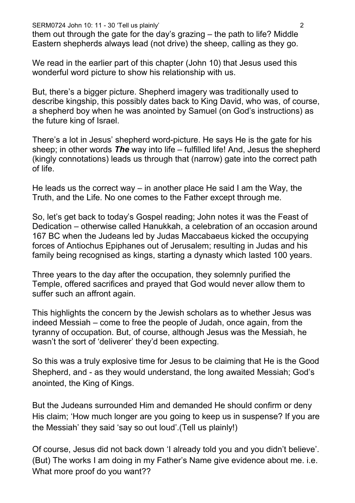SERM0724 John 10: 11 - 30 'Tell us plainly' 2

them out through the gate for the day's grazing – the path to life? Middle Eastern shepherds always lead (not drive) the sheep, calling as they go.

We read in the earlier part of this chapter (John 10) that Jesus used this wonderful word picture to show his relationship with us.

But, there's a bigger picture. Shepherd imagery was traditionally used to describe kingship, this possibly dates back to King David, who was, of course, a shepherd boy when he was anointed by Samuel (on God's instructions) as the future king of Israel.

There's a lot in Jesus' shepherd word-picture. He says He is the gate for his sheep; in other words *The* way into life – fulfilled life! And, Jesus the shepherd (kingly connotations) leads us through that (narrow) gate into the correct path of life.

He leads us the correct way – in another place He said I am the Way, the Truth, and the Life. No one comes to the Father except through me.

So, let's get back to today's Gospel reading; John notes it was the Feast of Dedication – otherwise called Hanukkah, a celebration of an occasion around 167 BC when the Judeans led by Judas Maccabaeus kicked the occupying forces of Antiochus Epiphanes out of Jerusalem; resulting in Judas and his family being recognised as kings, starting a dynasty which lasted 100 years.

Three years to the day after the occupation, they solemnly purified the Temple, offered sacrifices and prayed that God would never allow them to suffer such an affront again.

This highlights the concern by the Jewish scholars as to whether Jesus was indeed Messiah – come to free the people of Judah, once again, from the tyranny of occupation. But, of course, although Jesus was the Messiah, he wasn't the sort of 'deliverer' they'd been expecting.

So this was a truly explosive time for Jesus to be claiming that He is the Good Shepherd, and - as they would understand, the long awaited Messiah; God's anointed, the King of Kings.

But the Judeans surrounded Him and demanded He should confirm or deny His claim; 'How much longer are you going to keep us in suspense? If you are the Messiah' they said 'say so out loud'.(Tell us plainly!)

Of course, Jesus did not back down 'I already told you and you didn't believe'. (But) The works I am doing in my Father's Name give evidence about me. i.e. What more proof do you want??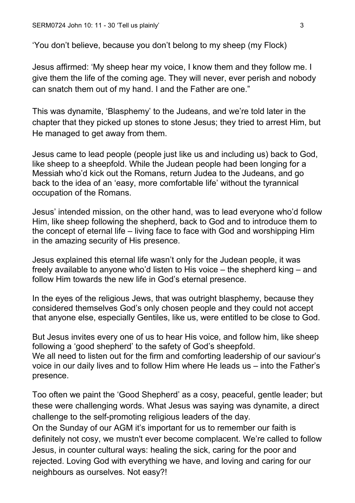'You don't believe, because you don't belong to my sheep (my Flock)

Jesus affirmed: 'My sheep hear my voice, I know them and they follow me. I give them the life of the coming age. They will never, ever perish and nobody can snatch them out of my hand. I and the Father are one."

This was dynamite, 'Blasphemy' to the Judeans, and we're told later in the chapter that they picked up stones to stone Jesus; they tried to arrest Him, but He managed to get away from them.

Jesus came to lead people (people just like us and including us) back to God, like sheep to a sheepfold. While the Judean people had been longing for a Messiah who'd kick out the Romans, return Judea to the Judeans, and go back to the idea of an 'easy, more comfortable life' without the tyrannical occupation of the Romans.

Jesus' intended mission, on the other hand, was to lead everyone who'd follow Him, like sheep following the shepherd, back to God and to introduce them to the concept of eternal life – living face to face with God and worshipping Him in the amazing security of His presence.

Jesus explained this eternal life wasn't only for the Judean people, it was freely available to anyone who'd listen to His voice – the shepherd king – and follow Him towards the new life in God's eternal presence.

In the eyes of the religious Jews, that was outright blasphemy, because they considered themselves God's only chosen people and they could not accept that anyone else, especially Gentiles, like us, were entitled to be close to God.

But Jesus invites every one of us to hear His voice, and follow him, like sheep following a 'good shepherd' to the safety of God's sheepfold. We all need to listen out for the firm and comforting leadership of our saviour's voice in our daily lives and to follow Him where He leads us – into the Father's presence.

Too often we paint the 'Good Shepherd' as a cosy, peaceful, gentle leader; but these were challenging words. What Jesus was saying was dynamite, a direct challenge to the self-promoting religious leaders of the day.

On the Sunday of our AGM it's important for us to remember our faith is definitely not cosy, we mustn't ever become complacent. We're called to follow Jesus, in counter cultural ways: healing the sick, caring for the poor and rejected. Loving God with everything we have, and loving and caring for our neighbours as ourselves. Not easy?!